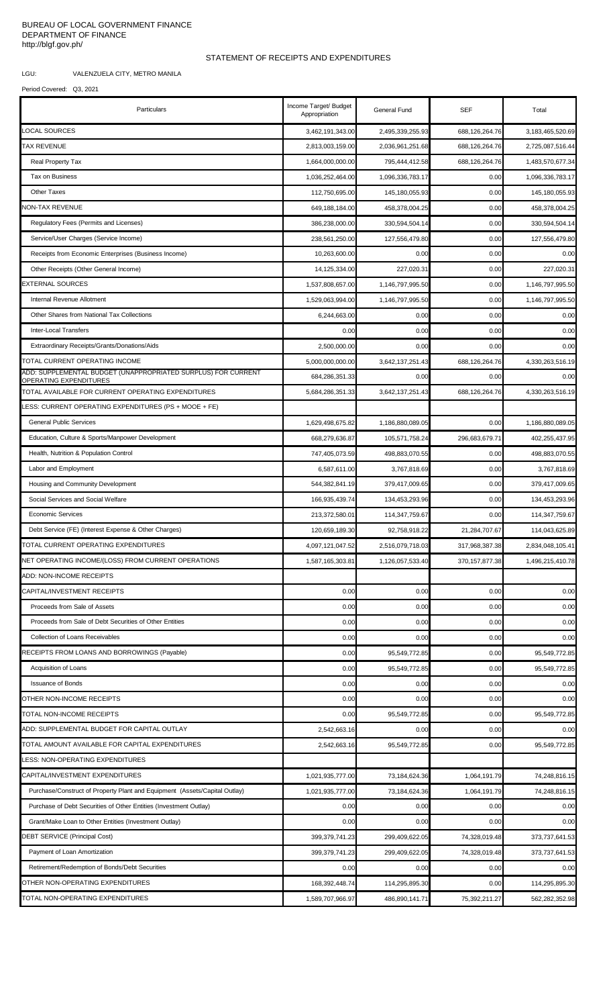## BUREAU OF LOCAL GOVERNMENT FINANCE DEPARTMENT OF FINANCE http://blgf.gov.ph/

## STATEMENT OF RECEIPTS AND EXPENDITURES

LGU: VALENZUELA CITY, METRO MANILA

## Period Covered: Q3, 2021

| Particulars                                                                             | Income Target/ Budget<br>Appropriation | General Fund     | <b>SEF</b>        | Total            |
|-----------------------------------------------------------------------------------------|----------------------------------------|------------------|-------------------|------------------|
| <b>LOCAL SOURCES</b>                                                                    | 3.462.191.343.00                       | 2,495,339,255.93 | 688,126,264.76    | 3,183,465,520.69 |
| <b>TAX REVENUE</b>                                                                      | 2,813,003,159.00                       | 2,036,961,251.68 | 688,126,264.76    | 2,725,087,516.44 |
| Real Property Tax                                                                       | 1,664,000,000.00                       | 795,444,412.58   | 688,126,264.76    | 1,483,570,677.34 |
| Tax on Business                                                                         | 1,036,252,464.00                       | 1,096,336,783.17 | 0.00              | 1,096,336,783.17 |
| <b>Other Taxes</b>                                                                      | 112,750,695.00                         | 145,180,055.93   | 0.00              | 145,180,055.93   |
| NON-TAX REVENUE                                                                         | 649, 188, 184.00                       | 458,378,004.25   | 0.00              | 458,378,004.25   |
| Regulatory Fees (Permits and Licenses)                                                  | 386,238,000.00                         | 330,594,504.14   | 0.00              | 330,594,504.14   |
| Service/User Charges (Service Income)                                                   | 238,561,250.00                         | 127,556,479.80   | 0.00              | 127,556,479.80   |
| Receipts from Economic Enterprises (Business Income)                                    | 10,263,600.00                          | 0.00             | 0.00              | 0.00             |
| Other Receipts (Other General Income)                                                   | 14, 125, 334.00                        | 227,020.31       | 0.00              | 227,020.31       |
| EXTERNAL SOURCES                                                                        | 1,537,808,657.00                       | 1,146,797,995.50 | 0.00              | 1,146,797,995.50 |
| Internal Revenue Allotment                                                              | 1,529,063,994.00                       | 1,146,797,995.50 | 0.00              | 1,146,797,995.50 |
| Other Shares from National Tax Collections                                              | 6,244,663.00                           | 0.00             | 0.00              | 0.00             |
| <b>Inter-Local Transfers</b>                                                            | 0.00                                   | 0.00             | 0.00              | 0.00             |
| Extraordinary Receipts/Grants/Donations/Aids                                            | 2,500,000.00                           | 0.00             | 0.00              | 0.00             |
| TOTAL CURRENT OPERATING INCOME                                                          | 5,000,000,000.00                       | 3,642,137,251.43 | 688,126,264.76    | 4,330,263,516.19 |
| ADD: SUPPLEMENTAL BUDGET (UNAPPROPRIATED SURPLUS) FOR CURRENT<br>OPERATING EXPENDITURES | 684,286,351.33                         | 0.00             | 0.00              | 0.00             |
| TOTAL AVAILABLE FOR CURRENT OPERATING EXPENDITURES                                      | 5,684,286,351.33                       | 3,642,137,251.43 | 688,126,264.76    | 4,330,263,516.19 |
| ESS: CURRENT OPERATING EXPENDITURES (PS + MOOE + FE)                                    |                                        |                  |                   |                  |
| <b>General Public Services</b>                                                          | 1,629,498,675.82                       | 1,186,880,089.05 | 0.00              | 1,186,880,089.05 |
| Education, Culture & Sports/Manpower Development                                        | 668,279,636.87                         | 105,571,758.24   | 296,683,679.71    | 402,255,437.95   |
| Health, Nutrition & Population Control                                                  | 747,405,073.59                         | 498,883,070.55   | 0.00              | 498,883,070.55   |
| Labor and Employment                                                                    | 6,587,611.00                           | 3,767,818.69     | 0.00              | 3,767,818.69     |
| Housing and Community Development                                                       | 544,382,841.19                         | 379,417,009.65   | 0.00              | 379,417,009.65   |
| Social Services and Social Welfare                                                      | 166,935,439.74                         | 134,453,293.96   | 0.00              | 134,453,293.96   |
| <b>Economic Services</b>                                                                | 213,372,580.01                         | 114,347,759.67   | 0.00              | 114,347,759.67   |
| Debt Service (FE) (Interest Expense & Other Charges)                                    | 120,659,189.30                         | 92,758,918.22    | 21,284,707.67     | 114,043,625.89   |
| TOTAL CURRENT OPERATING EXPENDITURES                                                    | 4,097,121,047.52                       | 2,516,079,718.03 | 317,968,387.38    | 2,834,048,105.41 |
| NET OPERATING INCOME/(LOSS) FROM CURRENT OPERATIONS                                     | 1,587,165,303.81                       | 1,126,057,533.40 | 370, 157, 877. 38 | 1,496,215,410.78 |
| ADD: NON-INCOME RECEIPTS                                                                |                                        |                  |                   |                  |
| CAPITAL/INVESTMENT RECEIPTS                                                             | 0.00                                   | 0.00             | 0.00              | 0.00             |
| Proceeds from Sale of Assets                                                            | 0.00                                   | 0.00             | 0.00              | 0.00             |
| Proceeds from Sale of Debt Securities of Other Entities                                 | 0.00                                   | 0.00             | 0.00              | 0.00             |
| Collection of Loans Receivables                                                         | 0.00                                   | 0.00             | 0.00              | 0.00             |
| RECEIPTS FROM LOANS AND BORROWINGS (Payable)                                            | 0.00                                   | 95,549,772.85    | 0.00              | 95,549,772.85    |
| Acquisition of Loans                                                                    | 0.00                                   | 95,549,772.85    | 0.00              | 95,549,772.85    |
| <b>Issuance of Bonds</b>                                                                | 0.00                                   | 0.00             | 0.00              | 0.00             |
| OTHER NON-INCOME RECEIPTS                                                               | 0.00                                   | 0.00             | 0.00              | 0.00             |
| TOTAL NON-INCOME RECEIPTS                                                               | 0.00                                   | 95,549,772.85    | 0.00              | 95,549,772.85    |
| ADD: SUPPLEMENTAL BUDGET FOR CAPITAL OUTLAY                                             | 2,542,663.16                           | 0.00             | 0.00              | 0.00             |
| TOTAL AMOUNT AVAILABLE FOR CAPITAL EXPENDITURES                                         | 2,542,663.16                           | 95,549,772.85    | 0.00              | 95,549,772.85    |
| LESS: NON-OPERATING EXPENDITURES                                                        |                                        |                  |                   |                  |
| CAPITAL/INVESTMENT EXPENDITURES                                                         | 1,021,935,777.00                       | 73,184,624.36    | 1,064,191.79      | 74,248,816.15    |
| Purchase/Construct of Property Plant and Equipment (Assets/Capital Outlay)              | 1,021,935,777.00                       | 73,184,624.36    | 1,064,191.79      | 74,248,816.15    |
| Purchase of Debt Securities of Other Entities (Investment Outlay)                       | 0.00                                   | 0.00             | 0.00              | 0.00             |
| Grant/Make Loan to Other Entities (Investment Outlay)                                   | 0.00                                   | 0.00             | 0.00              | 0.00             |
| <b>DEBT SERVICE (Principal Cost)</b>                                                    | 399, 379, 741.23                       | 299,409,622.05   | 74,328,019.48     | 373,737,641.53   |
| Payment of Loan Amortization                                                            | 399,379,741.23                         | 299,409,622.05   | 74,328,019.48     | 373,737,641.53   |
| Retirement/Redemption of Bonds/Debt Securities                                          | 0.00                                   | 0.00             | 0.00              | 0.00             |
| OTHER NON-OPERATING EXPENDITURES                                                        | 168,392,448.74                         | 114,295,895.30   | 0.00              | 114,295,895.30   |
| TOTAL NON-OPERATING EXPENDITURES                                                        | 1,589,707,966.97                       | 486,890,141.71   | 75,392,211.27     | 562,282,352.98   |